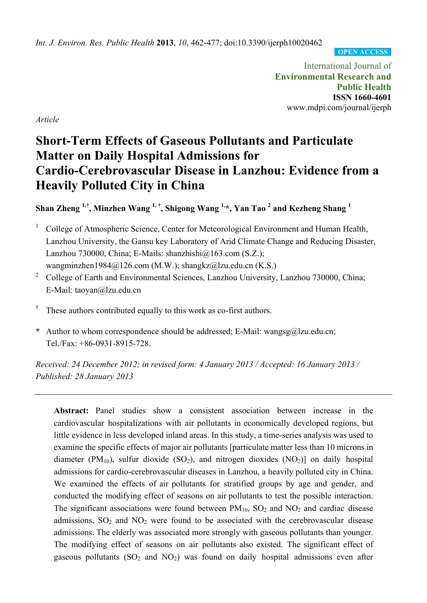*Int. J. Environ. Res. Public Health* **2013**, *10*, 462-477; doi:10.3390/ijerph10020462

**OPEN ACCESS**

International Journal of **Environmental Research and Public Health ISSN 1660-4601**  www.mdpi.com/journal/ijerph

*Article* 

# **Short-Term Effects of Gaseous Pollutants and Particulate Matter on Daily Hospital Admissions for Cardio-Cerebrovascular Disease in Lanzhou: Evidence from a Heavily Polluted City in China**

# **Shan Zheng 1,†, Minzhen Wang 1, †, Shigong Wang 1,\*, Yan Tao 2 and Kezheng Shang <sup>1</sup>**

- 1 College of Atmospheric Science, Center for Meteorological Environment and Human Health, Lanzhou University, the Gansu key Laboratory of Arid Climate Change and Reducing Disaster, Lanzhou 730000, China; E-Mails: shanzhishi $@163.com$  (S.Z.); wangminzhen1984@126.com (M.W.); shangkz@lzu.edu.cn (K.S.)
- <sup>2</sup> College of Earth and Environmental Sciences, Lanzhou University, Lanzhou 730000, China; E-Mail: taoyan@lzu.edu.cn
- **†** These authors contributed equally to this work as co-first authors.
- **\*** Author to whom correspondence should be addressed; E-Mail: wangsg@lzu.edu.cn; Tel./Fax: +86-0931-8915-728.

*Received: 24 December 2012; in revised form: 4 January 2013 / Accepted: 16 January 2013 / Published: 28 January 2013* 

**Abstract:** Panel studies show a consistent association between increase in the cardiovascular hospitalizations with air pollutants in economically developed regions, but little evidence in less developed inland areas. In this study, a time-series analysis was used to examine the specific effects of major air pollutants [particulate matter less than 10 microns in diameter (PM<sub>10</sub>), sulfur dioxide (SO<sub>2</sub>), and nitrogen dioxides (NO<sub>2</sub>)] on daily hospital admissions for cardio-cerebrovascular diseases in Lanzhou, a heavily polluted city in China. We examined the effects of air pollutants for stratified groups by age and gender, and conducted the modifying effect of seasons on air pollutants to test the possible interaction. The significant associations were found between  $PM_{10}$ ,  $SO_2$  and  $NO_2$  and cardiac disease admissions,  $SO_2$  and  $NO_2$  were found to be associated with the cerebrovascular disease admissions. The elderly was associated more strongly with gaseous pollutants than younger. The modifying effect of seasons on air pollutants also existed. The significant effect of gaseous pollutants  $(SO_2$  and  $NO_2)$  was found on daily hospital admissions even after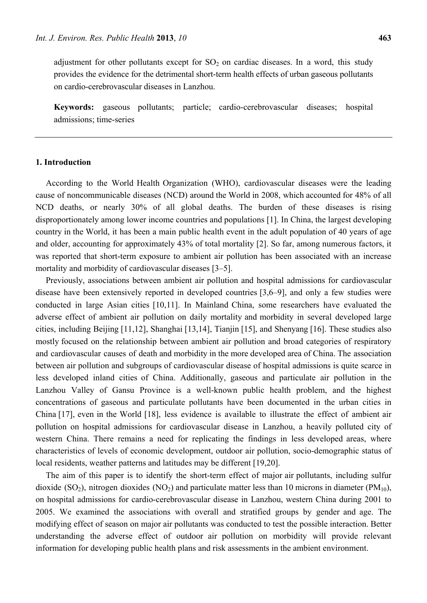adjustment for other pollutants except for  $SO<sub>2</sub>$  on cardiac diseases. In a word, this study provides the evidence for the detrimental short-term health effects of urban gaseous pollutants on cardio-cerebrovascular diseases in Lanzhou.

**Keywords:** gaseous pollutants; particle; cardio-cerebrovascular diseases; hospital admissions; time-series

## **1. Introduction**

According to the World Health Organization (WHO), cardiovascular diseases were the leading cause of noncommunicable diseases (NCD) around the World in 2008, which accounted for 48% of all NCD deaths, or nearly 30% of all global deaths. The burden of these diseases is rising disproportionately among lower income countries and populations [1]. In China, the largest developing country in the World, it has been a main public health event in the adult population of 40 years of age and older, accounting for approximately 43% of total mortality [2]. So far, among numerous factors, it was reported that short-term exposure to ambient air pollution has been associated with an increase mortality and morbidity of cardiovascular diseases [3–5].

Previously, associations between ambient air pollution and hospital admissions for cardiovascular disease have been extensively reported in developed countries [3,6–9], and only a few studies were conducted in large Asian cities [10,11]. In Mainland China, some researchers have evaluated the adverse effect of ambient air pollution on daily mortality and morbidity in several developed large cities, including Beijing [11,12], Shanghai [13,14], Tianjin [15], and Shenyang [16]. These studies also mostly focused on the relationship between ambient air pollution and broad categories of respiratory and cardiovascular causes of death and morbidity in the more developed area of China. The association between air pollution and subgroups of cardiovascular disease of hospital admissions is quite scarce in less developed inland cities of China. Additionally, gaseous and particulate air pollution in the Lanzhou Valley of Gansu Province is a well-known public health problem, and the highest concentrations of gaseous and particulate pollutants have been documented in the urban cities in China [17], even in the World [18], less evidence is available to illustrate the effect of ambient air pollution on hospital admissions for cardiovascular disease in Lanzhou, a heavily polluted city of western China. There remains a need for replicating the findings in less developed areas, where characteristics of levels of economic development, outdoor air pollution, socio-demographic status of local residents, weather patterns and latitudes may be different [19,20].

The aim of this paper is to identify the short-term effect of major air pollutants, including sulfur dioxide (SO<sub>2</sub>), nitrogen dioxides (NO<sub>2</sub>) and particulate matter less than 10 microns in diameter (PM<sub>10</sub>), on hospital admissions for cardio-cerebrovascular disease in Lanzhou, western China during 2001 to 2005. We examined the associations with overall and stratified groups by gender and age. The modifying effect of season on major air pollutants was conducted to test the possible interaction. Better understanding the adverse effect of outdoor air pollution on morbidity will provide relevant information for developing public health plans and risk assessments in the ambient environment.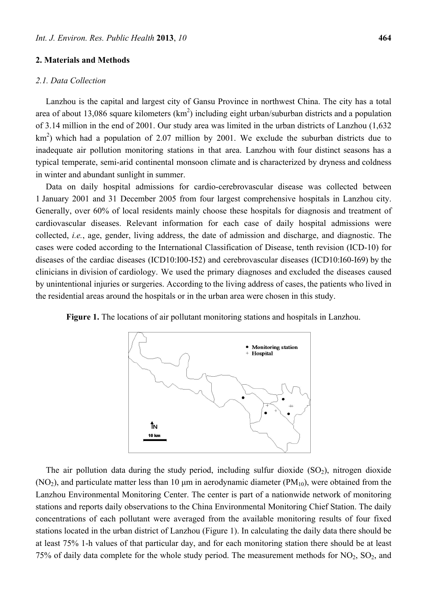#### **2. Materials and Methods**

#### *2.1. Data Collection*

Lanzhou is the capital and largest city of Gansu Province in northwest China. The city has a total area of about 13,086 square kilometers  $(km^2)$  including eight urban/suburban districts and a population of 3.14 million in the end of 2001. Our study area was limited in the urban districts of Lanzhou (1,632  $km<sup>2</sup>$ ) which had a population of 2.07 million by 2001. We exclude the suburban districts due to inadequate air pollution monitoring stations in that area. Lanzhou with four distinct seasons has a typical temperate, semi-arid continental monsoon climate and is characterized by dryness and coldness in winter and abundant sunlight in summer.

Data on daily hospital admissions for cardio-cerebrovascular disease was collected between 1 January 2001 and 31 December 2005 from four largest comprehensive hospitals in Lanzhou city. Generally, over 60% of local residents mainly choose these hospitals for diagnosis and treatment of cardiovascular diseases. Relevant information for each case of daily hospital admissions were collected, *i.e.*, age, gender, living address, the date of admission and discharge, and diagnostic. The cases were coded according to the International Classification of Disease, tenth revision (ICD-10) for diseases of the cardiac diseases (ICD10:I00-I52) and cerebrovascular diseases (ICD10:I60-I69) by the clinicians in division of cardiology. We used the primary diagnoses and excluded the diseases caused by unintentional injuries or surgeries. According to the living address of cases, the patients who lived in the residential areas around the hospitals or in the urban area were chosen in this study.



Figure 1. The locations of air pollutant monitoring stations and hospitals in Lanzhou.

The air pollution data during the study period, including sulfur dioxide  $(SO<sub>2</sub>)$ , nitrogen dioxide (NO<sub>2</sub>), and particulate matter less than 10  $\mu$ m in aerodynamic diameter (PM<sub>10</sub>), were obtained from the Lanzhou Environmental Monitoring Center. The center is part of a nationwide network of monitoring stations and reports daily observations to the China Environmental Monitoring Chief Station. The daily concentrations of each pollutant were averaged from the available monitoring results of four fixed stations located in the urban district of Lanzhou (Figure 1). In calculating the daily data there should be at least 75% 1-h values of that particular day, and for each monitoring station there should be at least 75% of daily data complete for the whole study period. The measurement methods for  $NO<sub>2</sub>$ ,  $SO<sub>2</sub>$ , and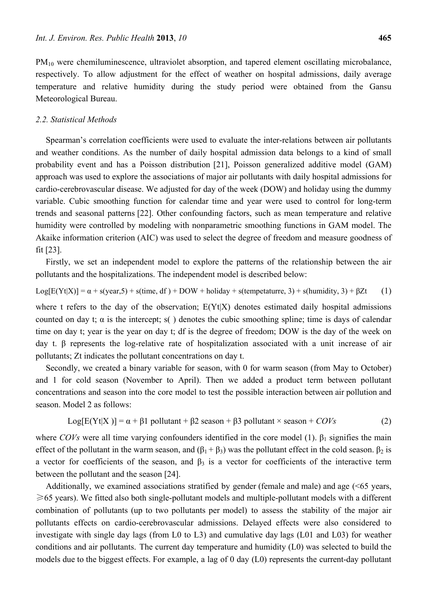PM<sub>10</sub> were chemiluminescence, ultraviolet absorption, and tapered element oscillating microbalance, respectively. To allow adjustment for the effect of weather on hospital admissions, daily average temperature and relative humidity during the study period were obtained from the Gansu Meteorological Bureau.

#### *2.2. Statistical Methods*

Spearman's correlation coefficients were used to evaluate the inter-relations between air pollutants and weather conditions. As the number of daily hospital admission data belongs to a kind of small probability event and has a Poisson distribution [21], Poisson generalized additive model (GAM) approach was used to explore the associations of major air pollutants with daily hospital admissions for cardio-cerebrovascular disease. We adjusted for day of the week (DOW) and holiday using the dummy variable. Cubic smoothing function for calendar time and year were used to control for long-term trends and seasonal patterns [22]. Other confounding factors, such as mean temperature and relative humidity were controlled by modeling with nonparametric smoothing functions in GAM model. The Akaike information criterion (AIC) was used to select the degree of freedom and measure goodness of fit [23].

Firstly, we set an independent model to explore the patterns of the relationship between the air pollutants and the hospitalizations. The independent model is described below:

$$
Log[E(Yt|X)] = \alpha + s(year, 5) + s(time, df) + DOW + \text{holiday} + s(tempetature, 3) + s(humidity, 3) + \beta Zt
$$
 (1)

where t refers to the day of the observation;  $E(Yt|X)$  denotes estimated daily hospital admissions counted on day t;  $\alpha$  is the intercept; s() denotes the cubic smoothing spline; time is days of calendar time on day t; year is the year on day t; df is the degree of freedom; DOW is the day of the week on day t. β represents the log-relative rate of hospitalization associated with a unit increase of air pollutants; Zt indicates the pollutant concentrations on day t.

Secondly, we created a binary variable for season, with 0 for warm season (from May to October) and 1 for cold season (November to April). Then we added a product term between pollutant concentrations and season into the core model to test the possible interaction between air pollution and season. Model 2 as follows:

$$
Log[E(Yt|X)] = \alpha + \beta 1 \text{ pollutant} + \beta 2 \text{ season} + \beta 3 \text{ pollutant} \times \text{ season} + COVs
$$
 (2)

where *COVs* were all time varying confounders identified in the core model (1).  $\beta_1$  signifies the main effect of the pollutant in the warm season, and  $(\beta_1 + \beta_3)$  was the pollutant effect in the cold season.  $\beta_2$  is a vector for coefficients of the season, and  $\beta_3$  is a vector for coefficients of the interactive term between the pollutant and the season [24].

Additionally, we examined associations stratified by gender (female and male) and age (<65 years, ≥65 years). We fitted also both single-pollutant models and multiple-pollutant models with a different combination of pollutants (up to two pollutants per model) to assess the stability of the major air pollutants effects on cardio-cerebrovascular admissions. Delayed effects were also considered to investigate with single day lags (from L0 to L3) and cumulative day lags (L01 and L03) for weather conditions and air pollutants. The current day temperature and humidity (L0) was selected to build the models due to the biggest effects. For example, a lag of 0 day (L0) represents the current-day pollutant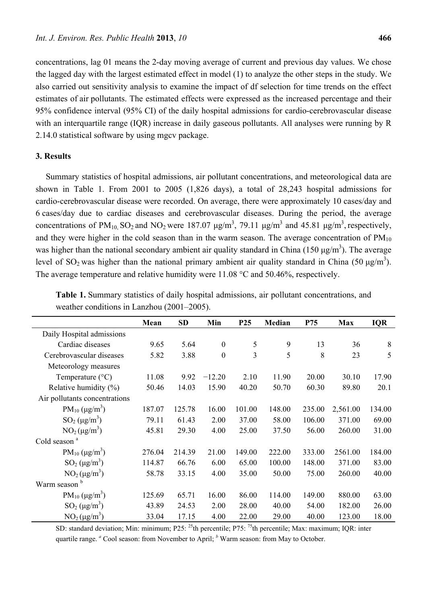concentrations, lag 01 means the 2-day moving average of current and previous day values. We chose the lagged day with the largest estimated effect in model (1) to analyze the other steps in the study. We also carried out sensitivity analysis to examine the impact of df selection for time trends on the effect estimates of air pollutants. The estimated effects were expressed as the increased percentage and their 95% confidence interval (95% CI) of the daily hospital admissions for cardio-cerebrovascular disease with an interquartile range (IQR) increase in daily gaseous pollutants. All analyses were running by R 2.14.0 statistical software by using mgcv package.

# **3. Results**

Summary statistics of hospital admissions, air pollutant concentrations, and meteorological data are shown in Table 1. From 2001 to 2005 (1,826 days), a total of 28,243 hospital admissions for cardio-cerebrovascular disease were recorded. On average, there were approximately 10 cases/day and 6 cases/day due to cardiac diseases and cerebrovascular diseases. During the period, the average concentrations of PM<sub>10</sub>, SO<sub>2</sub> and NO<sub>2</sub> were 187.07  $\mu$ g/m<sup>3</sup>, 79.11  $\mu$ g/m<sup>3</sup> and 45.81  $\mu$ g/m<sup>3</sup>, respectively, and they were higher in the cold season than in the warm season. The average concentration of  $PM_{10}$ was higher than the national secondary ambient air quality standard in China (150  $\mu$ g/m<sup>3</sup>). The average level of SO<sub>2</sub> was higher than the national primary ambient air quality standard in China (50  $\mu$ g/m<sup>3</sup>). The average temperature and relative humidity were 11.08 °C and 50.46%, respectively.

|                               | Mean   | <b>SD</b> | Min              | P <sub>25</sub> | Median | P75    | <b>Max</b> | <b>IQR</b> |
|-------------------------------|--------|-----------|------------------|-----------------|--------|--------|------------|------------|
| Daily Hospital admissions     |        |           |                  |                 |        |        |            |            |
| Cardiac diseases              | 9.65   | 5.64      | $\boldsymbol{0}$ | 5               | 9      | 13     | 36         | 8          |
| Cerebrovascular diseases      | 5.82   | 3.88      | $\mathbf{0}$     | $\overline{3}$  | 5      | 8      | 23         | 5          |
| Meteorology measures          |        |           |                  |                 |        |        |            |            |
| Temperature $(^{\circ}C)$     | 11.08  | 9.92      | $-12.20$         | 2.10            | 11.90  | 20.00  | 30.10      | 17.90      |
| Relative humidity $(\%)$      | 50.46  | 14.03     | 15.90            | 40.20           | 50.70  | 60.30  | 89.80      | 20.1       |
| Air pollutants concentrations |        |           |                  |                 |        |        |            |            |
| $PM_{10} (\mu g/m^3)$         | 187.07 | 125.78    | 16.00            | 101.00          | 148.00 | 235.00 | 2,561.00   | 134.00     |
| $SO_2(\mu g/m^3)$             | 79.11  | 61.43     | 2.00             | 37.00           | 58.00  | 106.00 | 371.00     | 69.00      |
| $NO2(\mu g/m3)$               | 45.81  | 29.30     | 4.00             | 25.00           | 37.50  | 56.00  | 260.00     | 31.00      |
| Cold season <sup>a</sup>      |        |           |                  |                 |        |        |            |            |
| $PM_{10} (\mu g/m^3)$         | 276.04 | 214.39    | 21.00            | 149.00          | 222.00 | 333.00 | 2561.00    | 184.00     |
| $SO_2(\mu g/m^3)$             | 114.87 | 66.76     | 6.00             | 65.00           | 100.00 | 148.00 | 371.00     | 83.00      |
| $NO2(\mu g/m3)$               | 58.78  | 33.15     | 4.00             | 35.00           | 50.00  | 75.00  | 260.00     | 40.00      |
| Warm season <sup>b</sup>      |        |           |                  |                 |        |        |            |            |
| $PM_{10} (\mu g/m^3)$         | 125.69 | 65.71     | 16.00            | 86.00           | 114.00 | 149.00 | 880.00     | 63.00      |
| $SO_2(\mu g/m^3)$             | 43.89  | 24.53     | 2.00             | 28.00           | 40.00  | 54.00  | 182.00     | 26.00      |
| $NO2(\mu g/m3)$               | 33.04  | 17.15     | 4.00             | 22.00           | 29.00  | 40.00  | 123.00     | 18.00      |

**Table 1.** Summary statistics of daily hospital admissions, air pollutant concentrations, and weather conditions in Lanzhou (2001–2005).

SD: standard deviation; Min: minimum; P25: <sup>25</sup>th percentile; P75: <sup>75</sup>th percentile; Max: maximum; IQR: inter quartile range. <sup>*a*</sup> Cool season: from November to April; <sup>*b*</sup> Warm season: from May to October.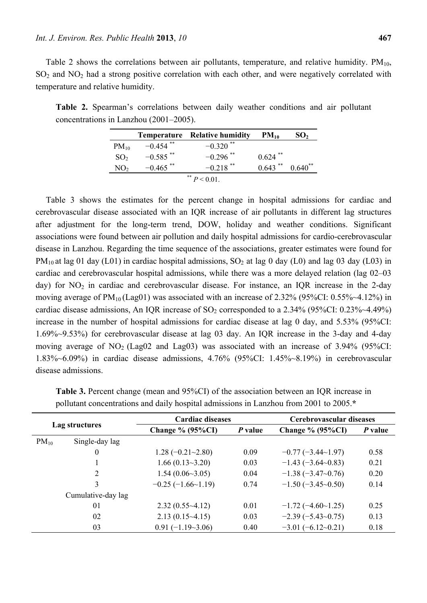Table 2 shows the correlations between air pollutants, temperature, and relative humidity.  $PM_{10}$ ,  $SO<sub>2</sub>$  and  $NO<sub>2</sub>$  had a strong positive correlation with each other, and were negatively correlated with temperature and relative humidity.

**Table 2.** Spearman's correlations between daily weather conditions and air pollutant concentrations in Lanzhou (2001–2005).

|                 |                        | <b>Temperature</b> Relative humidity | $PM_{10}$  | SO <sub>2</sub> |
|-----------------|------------------------|--------------------------------------|------------|-----------------|
| $PM_{10}$       | $-0.454$ <sup>**</sup> | $-0.320$ <sup>**</sup>               |            |                 |
| SO <sub>2</sub> | $-0.585$ <sup>**</sup> | $-0.296$ <sup>**</sup>               | $0.624$ ** |                 |
| NO <sub>2</sub> | $-0.465$ <sup>**</sup> | **<br>$-0.218$                       | $0.643$ ** | $0.640^{**}$    |
|                 |                        | ** $P < 0.01$                        |            |                 |

Table 3 shows the estimates for the percent change in hospital admissions for cardiac and cerebrovascular disease associated with an IQR increase of air pollutants in different lag structures after adjustment for the long-term trend, DOW, holiday and weather conditions. Significant associations were found between air pollution and daily hospital admissions for cardio-cerebrovascular disease in Lanzhou. Regarding the time sequence of the associations, greater estimates were found for  $PM_{10}$  at lag 01 day (L01) in cardiac hospital admissions,  $SO_2$  at lag 0 day (L0) and lag 03 day (L03) in cardiac and cerebrovascular hospital admissions, while there was a more delayed relation (lag 02–03 day) for  $NO<sub>2</sub>$  in cardiac and cerebrovascular disease. For instance, an IQR increase in the 2-day moving average of  $PM_{10}$ (Lag01) was associated with an increase of 2.32% (95%CI: 0.55%~4.12%) in cardiac disease admissions, An IQR increase of  $SO_2$  corresponded to a 2.34% (95%CI: 0.23%~4.49%) increase in the number of hospital admissions for cardiac disease at lag 0 day, and 5.53% (95%CI: 1.69%~9.53%) for cerebrovascular disease at lag 03 day. An IQR increase in the 3-day and 4-day moving average of  $NO<sub>2</sub> (Lag02 and Lag03)$  was associated with an increase of 3.94% (95%CI: 1.83%~6.09%) in cardiac disease admissions, 4.76% (95%CI: 1.45%~8.19%) in cerebrovascular disease admissions.

| Lag structures |                    | <b>Cardiac diseases</b> |         | Cerebrovascular diseases |         |  |  |
|----------------|--------------------|-------------------------|---------|--------------------------|---------|--|--|
|                |                    | Change $% (95\%CI)$     | P value | Change $% (95\%CI)$      | P value |  |  |
| $PM_{10}$      | Single-day lag     |                         |         |                          |         |  |  |
|                | $\theta$           | $1.28(-0.21-2.80)$      | 0.09    | $-0.77(-3.44{\sim}1.97)$ | 0.58    |  |  |
|                |                    | 1.66(0.13~3.20)         | 0.03    | $-1.43(-3.64-0.83)$      | 0.21    |  |  |
|                | 2                  | 1.54(0.06~3.05)         | 0.04    | $-1.38(-3.47-0.76)$      | 0.20    |  |  |
|                | 3                  | $-0.25(-1.66-1.19)$     | 0.74    | $-1.50(-3.45-0.50)$      | 0.14    |  |  |
|                | Cumulative-day lag |                         |         |                          |         |  |  |
|                | 01                 | $2.32(0.55-4.12)$       | 0.01    | $-1.72(-4.60-1.25)$      | 0.25    |  |  |
|                | 02                 | $2.13(0.15-4.15)$       | 0.03    | $-2.39(-5.43-0.75)$      | 0.13    |  |  |
|                | 03                 | $0.91(-1.19-3.06)$      | 0.40    | $-3.01(-6.12-0.21)$      | 0.18    |  |  |

**Table 3.** Percent change (mean and 95%CI) of the association between an IQR increase in pollutant concentrations and daily hospital admissions in Lanzhou from 2001 to 2005.**\***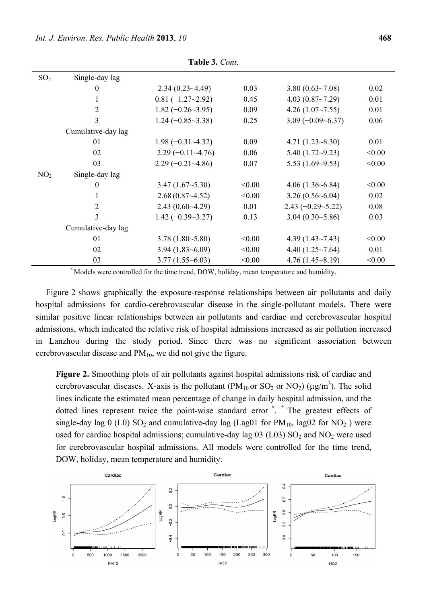| SO <sub>2</sub> | Single-day lag     |                          |        |                               |        |
|-----------------|--------------------|--------------------------|--------|-------------------------------|--------|
|                 | $\bf{0}$           | 2.34(0.23~4.49)          | 0.03   | 3.80(0.63~7.08)               | 0.02   |
|                 | 1                  | $0.81(-1.27-2.92)$       | 0.45   | 4.03(0.87~7.29)               | 0.01   |
|                 | $\overline{2}$     | $1.82 (-0.26 - 3.95)$    | 0.09   | 4.26(1.07~7.55)               | 0.01   |
|                 | 3                  | $1.24 (-0.85 \sim 3.38)$ | 0.25   | $3.09(-0.09-6.37)$            | 0.06   |
|                 | Cumulative-day lag |                          |        |                               |        |
|                 | 01                 | $1.98 (-0.31 - 4.32)$    | 0.09   | $4.71(1.23 \times 8.30)$      | 0.01   |
|                 | 02                 | $2.29(-0.11-4.76)$       | 0.06   | $5.40(1.72 \rightarrow 9.23)$ | < 0.00 |
|                 | 03                 | $2.29(-0.21-4.86)$       | 0.07   | 5.53 $(1.69 - 9.53)$          | < 0.00 |
| NO <sub>2</sub> | Single-day lag     |                          |        |                               |        |
|                 | $\theta$           | 3.47(1.67~5.30)          | < 0.00 | $4.06(1.36-6.84)$             | < 0.00 |
|                 | 1                  | 2.68(0.87~4.52)          | < 0.00 | $3.26(0.56-6.04)$             | 0.02   |
|                 | $\overline{2}$     | $2.43(0.60-4.29)$        | 0.01   | $2.43 (-0.29 - 5.22)$         | 0.08   |
|                 | 3                  | $1.42 (-0.39 - 3.27)$    | 0.13   | $3.04(0.30-5.86)$             | 0.03   |
|                 | Cumulative-day lag |                          |        |                               |        |
|                 | 01                 | $3.78(1.80-5.80)$        | < 0.00 | $4.39(1.43 \sim 7.43)$        | < 0.00 |
|                 | 02                 | $3.94(1.83 - 6.09)$      | < 0.00 | 4.40 $(1.25 \sim 7.64)$       | 0.01   |
|                 | 03                 | $3.77(1.55-6.03)$        | < 0.00 | $4.76(1.45-8.19)$             | < 0.00 |

**Table 3.** *Cont.* 

**\*** Models were controlled for the time trend, DOW, holiday, mean temperature and humidity.

Figure 2 shows graphically the exposure-response relationships between air pollutants and daily hospital admissions for cardio-cerebrovascular disease in the single-pollutant models. There were similar positive linear relationships between air pollutants and cardiac and cerebrovascular hospital admissions, which indicated the relative risk of hospital admissions increased as air pollution increased in Lanzhou during the study period. Since there was no significant association between cerebrovascular disease and  $PM_{10}$ , we did not give the figure.

**Figure 2.** Smoothing plots of air pollutants against hospital admissions risk of cardiac and cerebrovascular diseases. X-axis is the pollutant (PM<sub>10</sub> or SO<sub>2</sub> or NO<sub>2</sub>) ( $\mu$ g/m<sup>3</sup>). The solid lines indicate the estimated mean percentage of change in daily hospital admission, and the dotted lines represent twice the point-wise standard error **\*** . **\*** The greatest effects of single-day lag  $0$  (L0) SO<sub>2</sub> and cumulative-day lag (Lag01 for PM<sub>10</sub>, lag02 for NO<sub>2</sub>) were used for cardiac hospital admissions; cumulative-day lag  $03$  (L03) SO<sub>2</sub> and NO<sub>2</sub> were used for cerebrovascular hospital admissions. All models were controlled for the time trend, DOW, holiday, mean temperature and humidity.

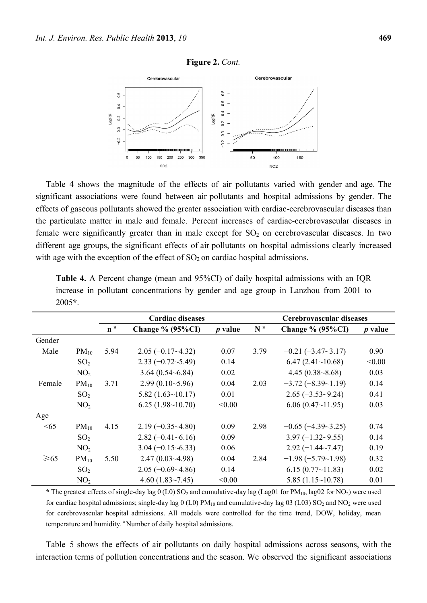



Table 4 shows the magnitude of the effects of air pollutants varied with gender and age. The significant associations were found between air pollutants and hospital admissions by gender. The effects of gaseous pollutants showed the greater association with cardiac-cerebrovascular diseases than the particulate matter in male and female. Percent increases of cardiac-cerebrovascular diseases in female were significantly greater than in male except for  $SO<sub>2</sub>$  on cerebrovascular diseases. In two different age groups, the significant effects of air pollutants on hospital admissions clearly increased with age with the exception of the effect of  $SO_2$  on cardiac hospital admissions.

|           |                 |                | <b>Cardiac diseases</b> |                | Cerebrovascular diseases |                         |                |  |  |
|-----------|-----------------|----------------|-------------------------|----------------|--------------------------|-------------------------|----------------|--|--|
|           |                 | n <sup>a</sup> | Change $% (95\%CI)$     | <i>p</i> value | N <sup>a</sup>           | Change $% (95\%CI)$     | <i>p</i> value |  |  |
| Gender    |                 |                |                         |                |                          |                         |                |  |  |
| Male      | $PM_{10}$       | 5.94           | $2.05(-0.17-4.32)$      | 0.07           | 3.79                     | $-0.21 (-3.47 - 3.17)$  | 0.90           |  |  |
|           | SO <sub>2</sub> |                | $2.33(-0.72-5.49)$      | 0.14           |                          | 6.47(2.41~10.68)        | < 0.00         |  |  |
|           | NO <sub>2</sub> |                | 3.64(0.54~6.84)         | 0.02           |                          | $4.45(0.38-8.68)$       | 0.03           |  |  |
| Female    | $PM_{10}$       | 3.71           | $2.99(0.10-5.96)$       | 0.04           | 2.03                     | $-3.72(-8.39-1.19)$     | 0.14           |  |  |
|           | SO <sub>2</sub> |                | 5.82(1.63~10.17)        | 0.01           |                          | $2.65(-3.53-9.24)$      | 0.41           |  |  |
|           | NO <sub>2</sub> |                | 6.25(1.98~10.70)        | < 0.00         |                          | 6.06(0.47~11.95)        | 0.03           |  |  |
| Age       |                 |                |                         |                |                          |                         |                |  |  |
| <65       | $PM_{10}$       | 4.15           | $2.19(-0.35-4.80)$      | 0.09           | 2.98                     | $-0.65(-4.39-3.25)$     | 0.74           |  |  |
|           | SO <sub>2</sub> |                | $2.82(-0.41-6.16)$      | 0.09           |                          | $3.97(-1.32-9.55)$      | 0.14           |  |  |
|           | NO <sub>2</sub> |                | $3.04 (-0.15 - 6.33)$   | 0.06           |                          | $2.92(-1.44 \sim 7.47)$ | 0.19           |  |  |
| $\geq 65$ | $PM_{10}$       | 5.50           | 2.47(0.03~4.98)         | 0.04           | 2.84                     | $-1.98(-5.79-1.98)$     | 0.32           |  |  |
|           | SO <sub>2</sub> |                | $2.05(-0.69-4.86)$      | 0.14           |                          | $6.15(0.77{\sim}11.83)$ | 0.02           |  |  |
|           | NO <sub>2</sub> |                | 4.60 $(1.83 \sim 7.45)$ | < 0.00         |                          | 5.85(1.15~10.78)        | 0.01           |  |  |

**Table 4.** A Percent change (mean and 95%CI) of daily hospital admissions with an IQR increase in pollutant concentrations by gender and age group in Lanzhou from 2001 to 2005**\***.

 $*$  The greatest effects of single-day lag 0 (L0) SO<sub>2</sub> and cumulative-day lag (Lag01 for PM<sub>10</sub>, lag02 for NO<sub>2</sub>) were used for cardiac hospital admissions; single-day lag 0 (L0)  $PM_{10}$  and cumulative-day lag 03 (L03) SO<sub>2</sub> and NO<sub>2</sub> were used for cerebrovascular hospital admissions. All models were controlled for the time trend, DOW, holiday, mean temperature and humidity.<sup>a</sup> Number of daily hospital admissions.

Table 5 shows the effects of air pollutants on daily hospital admissions across seasons, with the interaction terms of pollution concentrations and the season. We observed the significant associations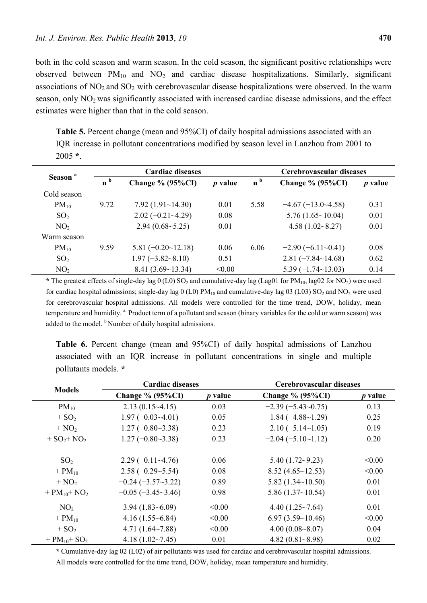both in the cold season and warm season. In the cold season, the significant positive relationships were observed between  $PM_{10}$  and  $NO<sub>2</sub>$  and cardiac disease hospitalizations. Similarly, significant associations of  $NO<sub>2</sub>$  and  $SO<sub>2</sub>$  with cerebrovascular disease hospitalizations were observed. In the warm season, only  $NO<sub>2</sub>$  was significantly associated with increased cardiac disease admissions, and the effect estimates were higher than that in the cold season.

**Table 5.** Percent change (mean and 95%CI) of daily hospital admissions associated with an IQR increase in pollutant concentrations modified by season level in Lanzhou from 2001 to 2005 **\***.

| Season <sup>a</sup> |                | <b>Cardiac diseases</b>   |                | Cerebrovascular diseases |                           |                |  |  |
|---------------------|----------------|---------------------------|----------------|--------------------------|---------------------------|----------------|--|--|
|                     | n <sup>b</sup> | Change $% (95\%CI)$       | <i>p</i> value | n <sup>b</sup>           | Change $\%$ (95%CI)       | <i>p</i> value |  |  |
| Cold season         |                |                           |                |                          |                           |                |  |  |
| $PM_{10}$           | 9.72           | 7.92(1.91~14.30)          | 0.01           | 5.58                     | $-4.67(-13.0-4.58)$       | 0.31           |  |  |
| SO <sub>2</sub>     |                | $2.02(-0.21-4.29)$        | 0.08           |                          | 5.76(1.65~10.04)          | 0.01           |  |  |
| NO <sub>2</sub>     |                | $2.94(0.68-5.25)$         | 0.01           |                          | $4.58(1.02 \times 8.27)$  | 0.01           |  |  |
| Warm season         |                |                           |                |                          |                           |                |  |  |
| $PM_{10}$           | 9.59           | $5.81 (-0.20 \sim 12.18)$ | 0.06           | 6.06                     | $-2.90(-6.11-0.41)$       | 0.08           |  |  |
| SO <sub>2</sub>     |                | $1.97 (-3.82 - 8.10)$     | 0.51           |                          | $2.81 (-7.84 \sim 14.68)$ | 0.62           |  |  |
| NO <sub>2</sub>     |                | 8.41(3.69~13.34)          | < 0.00         |                          | $5.39(-1.74\sim13.03)$    | 0.14           |  |  |

\* The greatest effects of single-day lag 0 (L0) SO<sub>2</sub> and cumulative-day lag (Lag01 for PM<sub>10</sub>, lag02 for NO<sub>2</sub>) were used for cardiac hospital admissions; single-day lag  $0$  (L0) PM<sub>10</sub> and cumulative-day lag 03 (L03) SO<sub>2</sub> and NO<sub>2</sub> were used for cerebrovascular hospital admissions. All models were controlled for the time trend, DOW, holiday, mean temperature and humidity. <sup>a.</sup> Product term of a pollutant and season (binary variables for the cold or warm season) was added to the model. <sup>b</sup> Number of daily hospital admissions.

| Table 6. Percent change (mean and 95%CI) of daily hospital admissions of Lanzhou   |  |  |  |  |  |  |
|------------------------------------------------------------------------------------|--|--|--|--|--|--|
| associated with an IQR increase in pollutant concentrations in single and multiple |  |  |  |  |  |  |
| pollutants models. *                                                               |  |  |  |  |  |  |

|                               | <b>Cardiac diseases</b>       |                | Cerebrovascular diseases      |           |  |  |  |
|-------------------------------|-------------------------------|----------------|-------------------------------|-----------|--|--|--|
| <b>Models</b>                 | Change $% (95\%CI)$           | <i>p</i> value | Change $% (95\%CI)$           | $p$ value |  |  |  |
| $PM_{10}$                     | $2.13(0.15-4.15)$             | 0.03           | $-2.39(-5.43-0.75)$           | 0.13      |  |  |  |
| $+ SO2$                       | $1.97(-0.03-4.01)$            | 0.05           | $-1.84(-4.88-1.29)$           | 0.25      |  |  |  |
| $+ NO2$                       | $1.27(-0.80-3.38)$            | 0.23           | $-2.10(-5.14-1.05)$           | 0.19      |  |  |  |
| $+ SO2+ NO2$                  | $1.27(-0.80-3.38)$            | 0.23           | $-2.04(-5.10-1.12)$           | 0.20      |  |  |  |
| SO <sub>2</sub>               | $2.29(-0.11-4.76)$            | 0.06           | $5.40(1.72 \rightarrow 9.23)$ | < 0.00    |  |  |  |
| $+$ PM <sub>10</sub>          | $2.58(-0.29-5.54)$            | 0.08           | 8.52(4.65~12.53)              | < 0.00    |  |  |  |
| $+ NO2$                       | $-0.24(-3.57-3.22)$           | 0.89           | 5.82(1.34~10.50)              | 0.01      |  |  |  |
| + $PM_{10}$ + NO <sub>2</sub> | $-0.05$ ( $-3.45 \sim 3.46$ ) | 0.98           | 5.86(1.37~10.54)              | 0.01      |  |  |  |
| NO <sub>2</sub>               | $3.94(1.83 - 6.09)$           | < 0.00         | $4.40(1.25 \sim 7.64)$        | 0.01      |  |  |  |
| $+$ PM <sub>10</sub>          | $4.16(1.55-6.84)$             | < 0.00         | 6.97(3.59~10.46)              | < 0.00    |  |  |  |
| $+ SO2$                       | 4.71 $(1.64 \sim 7.88)$       | < 0.00         | 4.00(0.08~8.07)               | 0.04      |  |  |  |
| + $PM_{10}$ + SO <sub>2</sub> | $4.18(1.02 \times 7.45)$      | 0.01           | 4.82 $(0.81 - 8.98)$          | 0.02      |  |  |  |

**\*** Cumulative-day lag 02 (L02) of air pollutants was used for cardiac and cerebrovascular hospital admissions. All models were controlled for the time trend, DOW, holiday, mean temperature and humidity.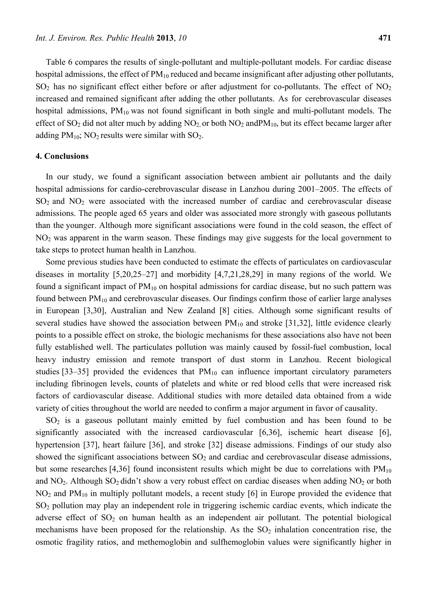Table 6 compares the results of single-pollutant and multiple-pollutant models. For cardiac disease hospital admissions, the effect of  $PM_{10}$  reduced and became insignificant after adjusting other pollutants,  $SO<sub>2</sub>$  has no significant effect either before or after adjustment for co-pollutants. The effect of NO<sub>2</sub> increased and remained significant after adding the other pollutants. As for cerebrovascular diseases hospital admissions,  $PM_{10}$  was not found significant in both single and multi-pollutant models. The effect of  $SO_2$  did not alter much by adding  $NO_2$  or both  $NO_2$  and  $PM_{10}$ , but its effect became larger after adding  $PM_{10}$ ; NO<sub>2</sub> results were similar with SO<sub>2</sub>.

## **4. Conclusions**

In our study, we found a significant association between ambient air pollutants and the daily hospital admissions for cardio-cerebrovascular disease in Lanzhou during 2001–2005. The effects of  $SO<sub>2</sub>$  and  $NO<sub>2</sub>$  were associated with the increased number of cardiac and cerebrovascular disease admissions. The people aged 65 years and older was associated more strongly with gaseous pollutants than the younger. Although more significant associations were found in the cold season, the effect of NO<sub>2</sub> was apparent in the warm season. These findings may give suggests for the local government to take steps to protect human health in Lanzhou.

Some previous studies have been conducted to estimate the effects of particulates on cardiovascular diseases in mortality [5,20,25–27] and morbidity [4,7,21,28,29] in many regions of the world. We found a significant impact of  $PM_{10}$  on hospital admissions for cardiac disease, but no such pattern was found between  $PM_{10}$  and cerebrovascular diseases. Our findings confirm those of earlier large analyses in European [3,30], Australian and New Zealand [8] cities. Although some significant results of several studies have showed the association between  $PM_{10}$  and stroke [31,32], little evidence clearly points to a possible effect on stroke, the biologic mechanisms for these associations also have not been fully established well. The particulates pollution was mainly caused by fossil-fuel combustion, local heavy industry emission and remote transport of dust storm in Lanzhou. Recent biological studies [33–35] provided the evidences that  $PM_{10}$  can influence important circulatory parameters including fibrinogen levels, counts of platelets and white or red blood cells that were increased risk factors of cardiovascular disease. Additional studies with more detailed data obtained from a wide variety of cities throughout the world are needed to confirm a major argument in favor of causality.

 $SO<sub>2</sub>$  is a gaseous pollutant mainly emitted by fuel combustion and has been found to be significantly associated with the increased cardiovascular [6,36], ischemic heart disease [6], hypertension [37], heart failure [36], and stroke [32] disease admissions. Findings of our study also showed the significant associations between  $SO<sub>2</sub>$  and cardiac and cerebrovascular disease admissions, but some researches [4,36] found inconsistent results which might be due to correlations with  $PM_{10}$ and  $NO<sub>2</sub>$ . Although  $SO<sub>2</sub>$  didn't show a very robust effect on cardiac diseases when adding  $NO<sub>2</sub>$  or both  $NO<sub>2</sub>$  and  $PM<sub>10</sub>$  in multiply pollutant models, a recent study [6] in Europe provided the evidence that SO2 pollution may play an independent role in triggering ischemic cardiac events, which indicate the adverse effect of  $SO_2$  on human health as an independent air pollutant. The potential biological mechanisms have been proposed for the relationship. As the  $SO<sub>2</sub>$  inhalation concentration rise, the osmotic fragility ratios, and methemoglobin and sulfhemoglobin values were significantly higher in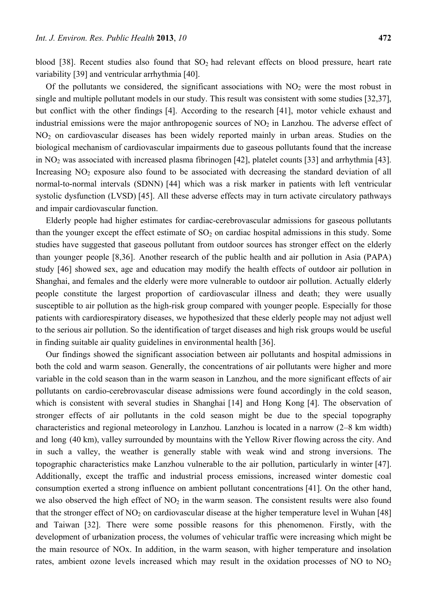blood [38]. Recent studies also found that  $SO_2$  had relevant effects on blood pressure, heart rate variability [39] and ventricular arrhythmia [40].

Of the pollutants we considered, the significant associations with  $NO<sub>2</sub>$  were the most robust in single and multiple pollutant models in our study. This result was consistent with some studies [32,37], but conflict with the other findings [4]. According to the research [41], motor vehicle exhaust and industrial emissions were the major anthropogenic sources of  $NO<sub>2</sub>$  in Lanzhou. The adverse effect of NO2 on cardiovascular diseases has been widely reported mainly in urban areas. Studies on the biological mechanism of cardiovascular impairments due to gaseous pollutants found that the increase in NO2 was associated with increased plasma fibrinogen [42], platelet counts [33] and arrhythmia [43]. Increasing  $NO<sub>2</sub>$  exposure also found to be associated with decreasing the standard deviation of all normal-to-normal intervals (SDNN) [44] which was a risk marker in patients with left ventricular systolic dysfunction (LVSD) [45]. All these adverse effects may in turn activate circulatory pathways and impair cardiovascular function.

Elderly people had higher estimates for cardiac-cerebrovascular admissions for gaseous pollutants than the younger except the effect estimate of  $SO<sub>2</sub>$  on cardiac hospital admissions in this study. Some studies have suggested that gaseous pollutant from outdoor sources has stronger effect on the elderly than younger people [8,36]. Another research of the public health and air pollution in Asia (PAPA) study [46] showed sex, age and education may modify the health effects of outdoor air pollution in Shanghai, and females and the elderly were more vulnerable to outdoor air pollution. Actually elderly people constitute the largest proportion of cardiovascular illness and death; they were usually susceptible to air pollution as the high-risk group compared with younger people. Especially for those patients with cardiorespiratory diseases, we hypothesized that these elderly people may not adjust well to the serious air pollution. So the identification of target diseases and high risk groups would be useful in finding suitable air quality guidelines in environmental health [36].

Our findings showed the significant association between air pollutants and hospital admissions in both the cold and warm season. Generally, the concentrations of air pollutants were higher and more variable in the cold season than in the warm season in Lanzhou, and the more significant effects of air pollutants on cardio-cerebrovascular disease admissions were found accordingly in the cold season, which is consistent with several studies in Shanghai [14] and Hong Kong [4]. The observation of stronger effects of air pollutants in the cold season might be due to the special topography characteristics and regional meteorology in Lanzhou. Lanzhou is located in a narrow (2–8 km width) and long (40 km), valley surrounded by mountains with the Yellow River flowing across the city. And in such a valley, the weather is generally stable with weak wind and strong inversions. The topographic characteristics make Lanzhou vulnerable to the air pollution, particularly in winter [47]. Additionally, except the traffic and industrial process emissions, increased winter domestic coal consumption exerted a strong influence on ambient pollutant concentrations [41]. On the other hand, we also observed the high effect of  $NO<sub>2</sub>$  in the warm season. The consistent results were also found that the stronger effect of  $NO<sub>2</sub>$  on cardiovascular disease at the higher temperature level in Wuhan [48] and Taiwan [32]. There were some possible reasons for this phenomenon. Firstly, with the development of urbanization process, the volumes of vehicular traffic were increasing which might be the main resource of NOx. In addition, in the warm season, with higher temperature and insolation rates, ambient ozone levels increased which may result in the oxidation processes of NO to  $NO<sub>2</sub>$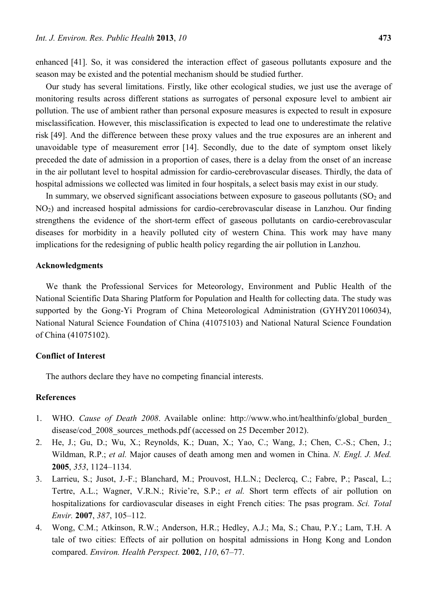enhanced [41]. So, it was considered the interaction effect of gaseous pollutants exposure and the season may be existed and the potential mechanism should be studied further.

Our study has several limitations. Firstly, like other ecological studies, we just use the average of monitoring results across different stations as surrogates of personal exposure level to ambient air pollution. The use of ambient rather than personal exposure measures is expected to result in exposure misclassification. However, this misclassification is expected to lead one to underestimate the relative risk [49]. And the difference between these proxy values and the true exposures are an inherent and unavoidable type of measurement error [14]. Secondly, due to the date of symptom onset likely preceded the date of admission in a proportion of cases, there is a delay from the onset of an increase in the air pollutant level to hospital admission for cardio-cerebrovascular diseases. Thirdly, the data of hospital admissions we collected was limited in four hospitals, a select basis may exist in our study.

In summary, we observed significant associations between exposure to gaseous pollutants  $(SO<sub>2</sub>$  and NO2) and increased hospital admissions for cardio-cerebrovascular disease in Lanzhou. Our finding strengthens the evidence of the short-term effect of gaseous pollutants on cardio-cerebrovascular diseases for morbidity in a heavily polluted city of western China. This work may have many implications for the redesigning of public health policy regarding the air pollution in Lanzhou.

## **Acknowledgments**

We thank the Professional Services for Meteorology, Environment and Public Health of the National Scientific Data Sharing Platform for Population and Health for collecting data. The study was supported by the Gong-Yi Program of China Meteorological Administration (GYHY201106034), National Natural Science Foundation of China (41075103) and National Natural Science Foundation of China (41075102).

#### **Conflict of Interest**

The authors declare they have no competing financial interests.

# **References**

- 1. WHO. *Cause of Death 2008*. Available online: http://www.who.int/healthinfo/global\_burden\_ disease/cod 2008 sources methods.pdf (accessed on 25 December 2012).
- 2. He, J.; Gu, D.; Wu, X.; Reynolds, K.; Duan, X.; Yao, C.; Wang, J.; Chen, C.-S.; Chen, J.; Wildman, R.P.; *et al.* Major causes of death among men and women in China. *N. Engl. J. Med.*  **2005**, *353*, 1124–1134.
- 3. Larrieu, S.; Jusot, J.-F.; Blanchard, M.; Prouvost, H.L.N.; Declercq, C.; Fabre, P.; Pascal, L.; Tertre, A.L.; Wagner, V.R.N.; Rivie're, S.P.; *et al.* Short term effects of air pollution on hospitalizations for cardiovascular diseases in eight French cities: The psas program. *Sci. Total Envir.* **2007**, *387*, 105–112.
- 4. Wong, C.M.; Atkinson, R.W.; Anderson, H.R.; Hedley, A.J.; Ma, S.; Chau, P.Y.; Lam, T.H. A tale of two cities: Effects of air pollution on hospital admissions in Hong Kong and London compared. *Environ. Health Perspect.* **2002**, *110*, 67–77.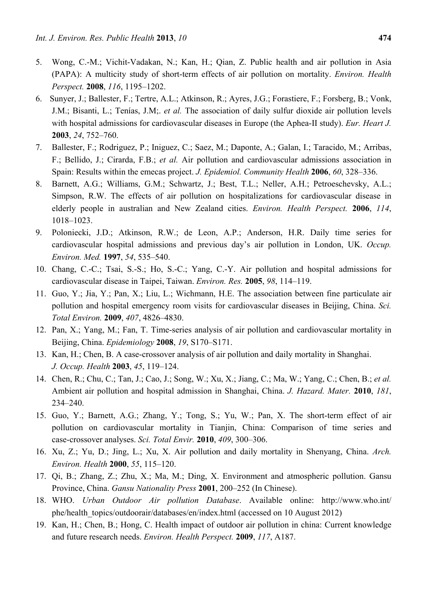- 5. Wong, C.-M.; Vichit-Vadakan, N.; Kan, H.; Qian, Z. Public health and air pollution in Asia (PAPA): A multicity study of short-term effects of air pollution on mortality. *Environ. Health Perspect.* **2008**, *116*, 1195–1202.
- 6. Sunyer, J.; Ballester, F.; Tertre, A.L.; Atkinson, R.; Ayres, J.G.; Forastiere, F.; Forsberg, B.; Vonk, J.M.; Bisanti, L.; Tenías, J.M;. *et al.* The association of daily sulfur dioxide air pollution levels with hospital admissions for cardiovascular diseases in Europe (the Aphea-II study). *Eur. Heart J.*  **2003**, *24*, 752–760.
- 7. Ballester, F.; Rodriguez, P.; Iniguez, C.; Saez, M.; Daponte, A.; Galan, I.; Taracido, M.; Arribas, F.; Bellido, J.; Cirarda, F.B.; *et al.* Air pollution and cardiovascular admissions association in Spain: Results within the emecas project. *J. Epidemiol. Community Health* **2006**, *60*, 328–336.
- 8. Barnett, A.G.; Williams, G.M.; Schwartz, J.; Best, T.L.; Neller, A.H.; Petroeschevsky, A.L.; Simpson, R.W. The effects of air pollution on hospitalizations for cardiovascular disease in elderly people in australian and New Zealand cities. *Environ. Health Perspect.* **2006**, *114*, 1018–1023.
- 9. Poloniecki, J.D.; Atkinson, R.W.; de Leon, A.P.; Anderson, H.R. Daily time series for cardiovascular hospital admissions and previous day's air pollution in London, UK. *Occup. Environ. Med.* **1997**, *54*, 535–540.
- 10. Chang, C.-C.; Tsai, S.-S.; Ho, S.-C.; Yang, C.-Y. Air pollution and hospital admissions for cardiovascular disease in Taipei, Taiwan. *Environ. Res.* **2005**, *98*, 114–119.
- 11. Guo, Y.; Jia, Y.; Pan, X.; Liu, L.; Wichmann, H.E. The association between fine particulate air pollution and hospital emergency room visits for cardiovascular diseases in Beijing, China. *Sci. Total Environ.* **2009**, *407*, 4826–4830.
- 12. Pan, X.; Yang, M.; Fan, T. Time-series analysis of air pollution and cardiovascular mortality in Beijing, China. *Epidemiology* **2008**, *19*, S170–S171.
- 13. Kan, H.; Chen, B. A case-crossover analysis of air pollution and daily mortality in Shanghai. *J. Occup. Health* **2003**, *45*, 119–124.
- 14. Chen, R.; Chu, C.; Tan, J.; Cao, J.; Song, W.; Xu, X.; Jiang, C.; Ma, W.; Yang, C.; Chen, B.; *et al.* Ambient air pollution and hospital admission in Shanghai, China. *J. Hazard. Mater.* **2010**, *181*, 234–240.
- 15. Guo, Y.; Barnett, A.G.; Zhang, Y.; Tong, S.; Yu, W.; Pan, X. The short-term effect of air pollution on cardiovascular mortality in Tianjin, China: Comparison of time series and case-crossover analyses. *Sci. Total Envir.* **2010**, *409*, 300–306.
- 16. Xu, Z.; Yu, D.; Jing, L.; Xu, X. Air pollution and daily mortality in Shenyang, China. *Arch. Environ. Health* **2000**, *55*, 115–120.
- 17. Qi, B.; Zhang, Z.; Zhu, X.; Ma, M.; Ding, X. Environment and atmospheric pollution. Gansu Province, China. *Gansu Nationality Press* **2001**, 200–252 (In Chinese).
- 18. WHO. *Urban Outdoor Air pollution Database*. Available online: http://www.who.int/ phe/health\_topics/outdoorair/databases/en/index.html (accessed on 10 August 2012)
- 19. Kan, H.; Chen, B.; Hong, C. Health impact of outdoor air pollution in china: Current knowledge and future research needs. *Environ. Health Perspect.* **2009**, *117*, A187.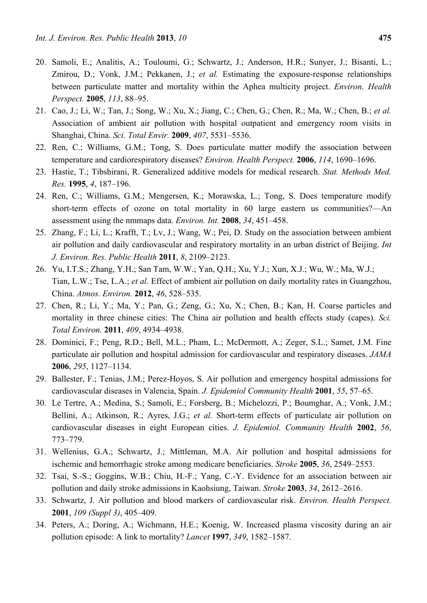- 20. Samoli, E.; Analitis, A.; Touloumi, G.; Schwartz, J.; Anderson, H.R.; Sunyer, J.; Bisanti, L.; Zmirou, D.; Vonk, J.M.; Pekkanen, J.; *et al.* Estimating the exposure-response relationships between particulate matter and mortality within the Aphea multicity project. *Environ. Health Perspect.* **2005**, *113*, 88–95.
- 21. Cao, J.; Li, W.; Tan, J.; Song, W.; Xu, X.; Jiang, C.; Chen, G.; Chen, R.; Ma, W.; Chen, B.; *et al.* Association of ambient air pollution with hospital outpatient and emergency room visits in Shanghai, China. *Sci. Total Envir.* **2009**, *407*, 5531–5536.
- 22. Ren, C.; Williams, G.M.; Tong, S. Does particulate matter modify the association between temperature and cardiorespiratory diseases? *Environ. Health Perspect.* **2006**, *114*, 1690–1696.
- 23. Hastie, T.; Tibshirani, R. Generalized additive models for medical research. *Stat. Methods Med. Res.* **1995**, *4*, 187–196.
- 24. Ren, C.; Williams, G.M.; Mengersen, K.; Morawska, L.; Tong, S. Does temperature modify short-term effects of ozone on total mortality in 60 large eastern us communities?—An assessment using the nmmaps data. *Environ. Int.* **2008**, *34*, 451–458.
- 25. Zhang, F.; Li, L.; Krafft, T.; Lv, J.; Wang, W.; Pei, D. Study on the association between ambient air pollution and daily cardiovascular and respiratory mortality in an urban district of Beijing. *Int J. Environ. Res. Public Health* **2011**, *8*, 2109–2123.
- 26. Yu, I.T.S.; Zhang, Y.H.; San Tam, W.W.; Yan, Q.H.; Xu, Y.J.; Xun, X.J.; Wu, W.; Ma, W.J.; Tian, L.W.; Tse, L.A.; *et al.* Effect of ambient air pollution on daily mortality rates in Guangzhou, China. *Atmos. Environ.* **2012**, *46*, 528–535.
- 27. Chen, R.; Li, Y.; Ma, Y.; Pan, G.; Zeng, G.; Xu, X.; Chen, B.; Kan, H. Coarse particles and mortality in three chinese cities: The China air pollution and health effects study (capes). *Sci. Total Environ.* **2011**, *409*, 4934–4938.
- 28. Dominici, F.; Peng, R.D.; Bell, M.L.; Pham, L.; McDermott, A.; Zeger, S.L.; Samet, J.M. Fine particulate air pollution and hospital admission for cardiovascular and respiratory diseases. *JAMA*  **2006**, *295*, 1127–1134.
- 29. Ballester, F.; Tenias, J.M.; Perez-Hoyos, S. Air pollution and emergency hospital admissions for cardiovascular diseases in Valencia, Spain. *J. Epidemiol Community Health* **2001**, *55*, 57–65.
- 30. Le Tertre, A.; Medina, S.; Samoli, E.; Forsberg, B.; Michelozzi, P.; Boumghar, A.; Vonk, J.M.; Bellini, A.; Atkinson, R.; Ayres, J.G.; *et al.* Short-term effects of particulate air pollution on cardiovascular diseases in eight European cities. *J. Epidemiol. Community Health* **2002**, *56*, 773–779.
- 31. Wellenius, G.A.; Schwartz, J.; Mittleman, M.A. Air pollution and hospital admissions for ischemic and hemorrhagic stroke among medicare beneficiaries. *Stroke* **2005**, *36*, 2549–2553.
- 32. Tsai, S.-S.; Goggins, W.B.; Chiu, H.-F.; Yang, C.-Y. Evidence for an association between air pollution and daily stroke admissions in Kaohsiung, Taiwan. *Stroke* **2003**, *34*, 2612–2616.
- 33. Schwartz, J. Air pollution and blood markers of cardiovascular risk. *Environ. Health Perspect.*  **2001**, *109 (Suppl 3)*, 405–409.
- 34. Peters, A.; Doring, A.; Wichmann, H.E.; Koenig, W. Increased plasma viscosity during an air pollution episode: A link to mortality? *Lancet* **1997**, *349*, 1582–1587.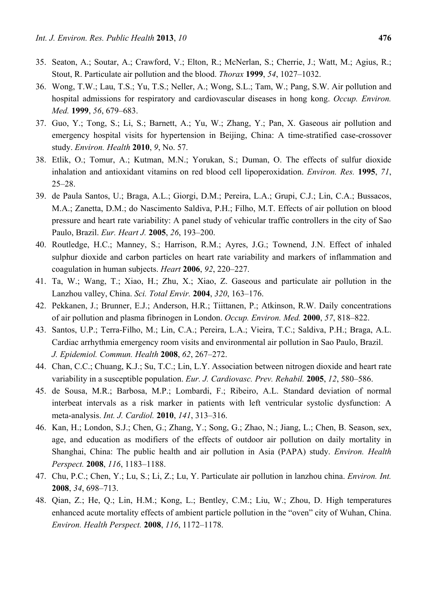- 35. Seaton, A.; Soutar, A.; Crawford, V.; Elton, R.; McNerlan, S.; Cherrie, J.; Watt, M.; Agius, R.; Stout, R. Particulate air pollution and the blood. *Thorax* **1999**, *54*, 1027–1032.
- 36. Wong, T.W.; Lau, T.S.; Yu, T.S.; Neller, A.; Wong, S.L.; Tam, W.; Pang, S.W. Air pollution and hospital admissions for respiratory and cardiovascular diseases in hong kong. *Occup. Environ. Med.* **1999**, *56*, 679–683.
- 37. Guo, Y.; Tong, S.; Li, S.; Barnett, A.; Yu, W.; Zhang, Y.; Pan, X. Gaseous air pollution and emergency hospital visits for hypertension in Beijing, China: A time-stratified case-crossover study. *Environ. Health* **2010**, *9*, No. 57.
- 38. Etlik, O.; Tomur, A.; Kutman, M.N.; Yorukan, S.; Duman, O. The effects of sulfur dioxide inhalation and antioxidant vitamins on red blood cell lipoperoxidation. *Environ. Res.* **1995**, *71*, 25–28.
- 39. de Paula Santos, U.; Braga, A.L.; Giorgi, D.M.; Pereira, L.A.; Grupi, C.J.; Lin, C.A.; Bussacos, M.A.; Zanetta, D.M.; do Nascimento Saldiva, P.H.; Filho, M.T. Effects of air pollution on blood pressure and heart rate variability: A panel study of vehicular traffic controllers in the city of Sao Paulo, Brazil. *Eur. Heart J.* **2005**, *26*, 193–200.
- 40. Routledge, H.C.; Manney, S.; Harrison, R.M.; Ayres, J.G.; Townend, J.N. Effect of inhaled sulphur dioxide and carbon particles on heart rate variability and markers of inflammation and coagulation in human subjects. *Heart* **2006**, *92*, 220–227.
- 41. Ta, W.; Wang, T.; Xiao, H.; Zhu, X.; Xiao, Z. Gaseous and particulate air pollution in the Lanzhou valley, China. *Sci. Total Envir.* **2004**, *320*, 163–176.
- 42. Pekkanen, J.; Brunner, E.J.; Anderson, H.R.; Tiittanen, P.; Atkinson, R.W. Daily concentrations of air pollution and plasma fibrinogen in London. *Occup. Environ. Med.* **2000**, *57*, 818–822.
- 43. Santos, U.P.; Terra-Filho, M.; Lin, C.A.; Pereira, L.A.; Vieira, T.C.; Saldiva, P.H.; Braga, A.L. Cardiac arrhythmia emergency room visits and environmental air pollution in Sao Paulo, Brazil. *J. Epidemiol. Commun. Health* **2008**, *62*, 267–272.
- 44. Chan, C.C.; Chuang, K.J.; Su, T.C.; Lin, L.Y. Association between nitrogen dioxide and heart rate variability in a susceptible population. *Eur. J. Cardiovasc. Prev. Rehabil.* **2005**, *12*, 580–586.
- 45. de Sousa, M.R.; Barbosa, M.P.; Lombardi, F.; Ribeiro, A.L. Standard deviation of normal interbeat intervals as a risk marker in patients with left ventricular systolic dysfunction: A meta-analysis. *Int. J. Cardiol.* **2010**, *141*, 313–316.
- 46. Kan, H.; London, S.J.; Chen, G.; Zhang, Y.; Song, G.; Zhao, N.; Jiang, L.; Chen, B. Season, sex, age, and education as modifiers of the effects of outdoor air pollution on daily mortality in Shanghai, China: The public health and air pollution in Asia (PAPA) study. *Environ. Health Perspect.* **2008**, *116*, 1183–1188.
- 47. Chu, P.C.; Chen, Y.; Lu, S.; Li, Z.; Lu, Y. Particulate air pollution in lanzhou china. *Environ. Int.*  **2008**, *34*, 698–713.
- 48. Qian, Z.; He, Q.; Lin, H.M.; Kong, L.; Bentley, C.M.; Liu, W.; Zhou, D. High temperatures enhanced acute mortality effects of ambient particle pollution in the "oven" city of Wuhan, China. *Environ. Health Perspect.* **2008**, *116*, 1172–1178.